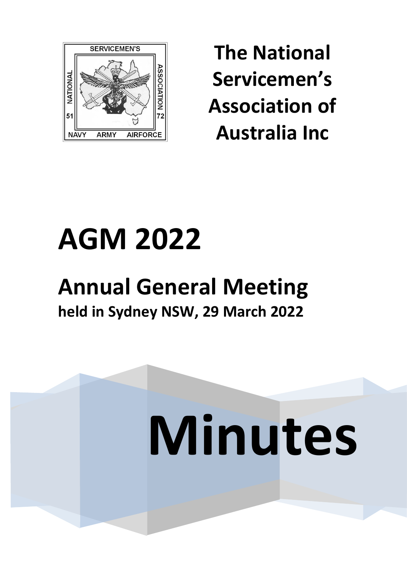

**The National Servicemen's Association of Australia Inc**

# **AGM 2022**

# **Annual General Meeting held in Sydney NSW, 29 March 2022**

# **Minutes**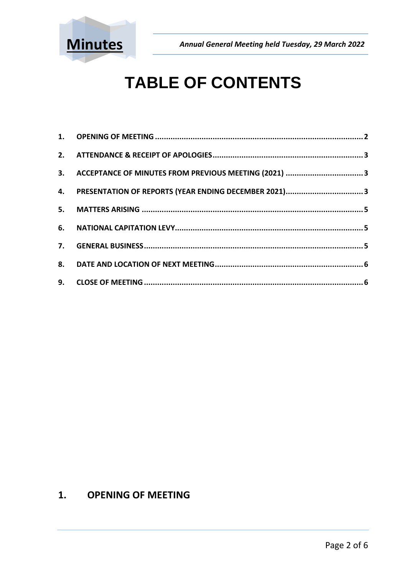

## **TABLE OF CONTENTS**

| 3. ACCEPTANCE OF MINUTES FROM PREVIOUS MEETING (2021) 3 |  |
|---------------------------------------------------------|--|
| 4. PRESENTATION OF REPORTS (YEAR ENDING DECEMBER 2021)3 |  |
|                                                         |  |
|                                                         |  |
|                                                         |  |
|                                                         |  |
|                                                         |  |

### <span id="page-1-0"></span>**1. OPENING OF MEETING**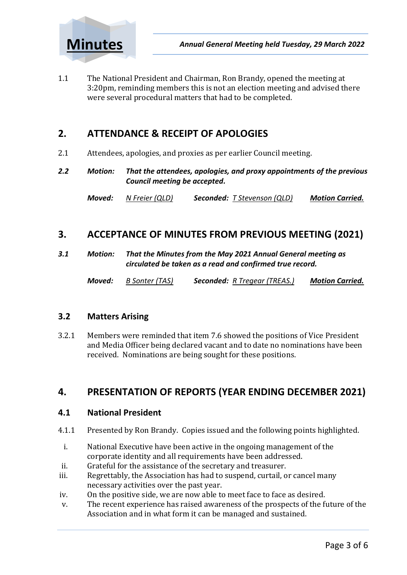

1.1 The National President and Chairman, Ron Brandy, opened the meeting at 3:20pm, reminding members this is not an election meeting and advised there were several procedural matters that had to be completed.

### <span id="page-2-0"></span>**2. ATTENDANCE & RECEIPT OF APOLOGIES**

- 2.1 Attendees, apologies, and proxies as per earlier Council meeting.
- *2.2 Motion: That the attendees, apologies, and proxy appointments of the previous Council meeting be accepted.*

*Moved: N Freier (QLD) Seconded: T Stevenson (QLD) Motion Carried.*

### <span id="page-2-1"></span>**3. ACCEPTANCE OF MINUTES FROM PREVIOUS MEETING (2021)**

*3.1 Motion: That the Minutes from the May 2021 Annual General meeting as circulated be taken as a read and confirmed true record.*

*Moved: B Sonter (TAS) Seconded: R Tregear (TREAS.) Motion Carried.*

### **3.2 Matters Arising**

3.2.1 Members were reminded that item 7.6 showed the positions of Vice President and Media Officer being declared vacant and to date no nominations have been received. Nominations are being sought for these positions.

### <span id="page-2-2"></span>**4. PRESENTATION OF REPORTS (YEAR ENDING DECEMBER 2021)**

### **4.1 National President**

- 4.1.1 Presented by Ron Brandy. Copies issued and the following points highlighted.
- i. National Executive have been active in the ongoing management of the corporate identity and all requirements have been addressed.
- ii. Grateful for the assistance of the secretary and treasurer.
- iii. Regrettably, the Association has had to suspend, curtail, or cancel many necessary activities over the past year.
- iv. On the positive side, we are now able to meet face to face as desired.
- v. The recent experience has raised awareness of the prospects of the future of the Association and in what form it can be managed and sustained.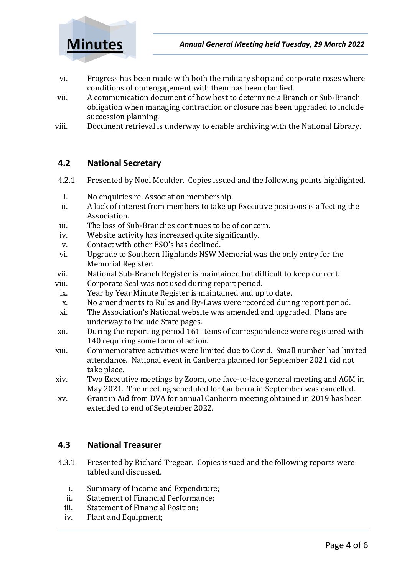

- vi. Progress has been made with both the military shop and corporate roses where conditions of our engagement with them has been clarified.
- vii. A communication document of how best to determine a Branch or Sub-Branch obligation when managing contraction or closure has been upgraded to include succession planning.
- viii. Document retrieval is underway to enable archiving with the National Library.

### **4.2 National Secretary**

- 4.2.1 Presented by Noel Moulder. Copies issued and the following points highlighted.
	- i. No enquiries re. Association membership.
- ii. A lack of interest from members to take up Executive positions is affecting the Association.
- iii. The loss of Sub-Branches continues to be of concern.
- iv. Website activity has increased quite significantly.
- v. Contact with other ESO's has declined.
- vi. Upgrade to Southern Highlands NSW Memorial was the only entry for the Memorial Register.
- vii. National Sub-Branch Register is maintained but difficult to keep current.
- viii. Corporate Seal was not used during report period.
- ix. Year by Year Minute Register is maintained and up to date.
- x. No amendments to Rules and By-Laws were recorded during report period.
- xi. The Association's National website was amended and upgraded. Plans are underway to include State pages.
- xii. During the reporting period 161 items of correspondence were registered with 140 requiring some form of action.
- xiii. Commemorative activities were limited due to Covid. Small number had limited attendance. National event in Canberra planned for September 2021 did not take place.
- xiv. Two Executive meetings by Zoom, one face-to-face general meeting and AGM in May 2021. The meeting scheduled for Canberra in September was cancelled.
- xv. Grant in Aid from DVA for annual Canberra meeting obtained in 2019 has been extended to end of September 2022.

### **4.3 National Treasurer**

- 4.3.1 Presented by Richard Tregear. Copies issued and the following reports were tabled and discussed.
	- i. Summary of Income and Expenditure;
	- ii. Statement of Financial Performance;
	- iii. Statement of Financial Position;
	- iv. Plant and Equipment;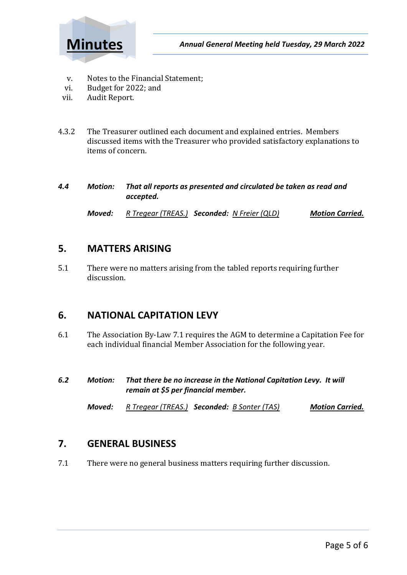

- v. Notes to the Financial Statement;
- vi. Budget for 2022; and
- vii. Audit Report.
- 4.3.2 The Treasurer outlined each document and explained entries. Members discussed items with the Treasurer who provided satisfactory explanations to items of concern.

| 4.4 | Motion: | That all reports as presented and circulated be taken as read and |
|-----|---------|-------------------------------------------------------------------|
|     |         | accepted.                                                         |

*Moved: R Tregear (TREAS.) Seconded: N Freier (QLD) Motion Carried.*

### <span id="page-4-0"></span>**5. MATTERS ARISING**

5.1 There were no matters arising from the tabled reports requiring further discussion.

### <span id="page-4-1"></span>**6. NATIONAL CAPITATION LEVY**

- 6.1 The Association By-Law 7.1 requires the AGM to determine a Capitation Fee for each individual financial Member Association for the following year.
- *6.2 Motion: That there be no increase in the National Capitation Levy. It will remain at \$5 per financial member.*

*Moved: R Tregear (TREAS.) Seconded: B Sonter (TAS) Motion Carried.*

### <span id="page-4-2"></span>**7. GENERAL BUSINESS**

7.1 There were no general business matters requiring further discussion.